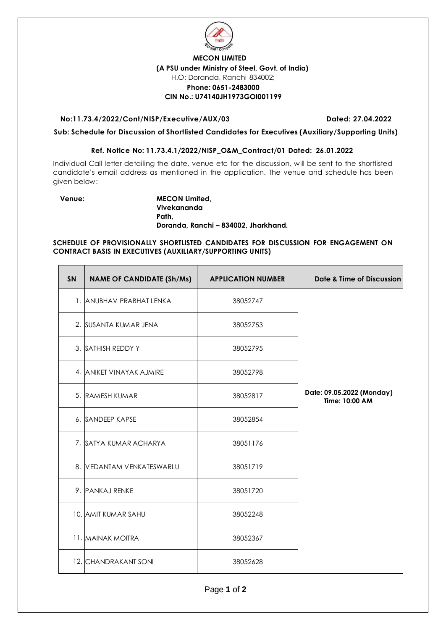

## **MECON LIMITED (A PSU under Ministry of Steel, Govt. of India)** H.O: Doranda, Ranchi-834002; **Phone: 0651-2483000 CIN No.: U74140JH1973GOI001199**

#### **No:11.73.4/2022/Cont/NISP/Executive/AUX/03 Dated: 27.04.2022**

**Sub: Schedule for Discussion of Shortlisted Candidates for Executives (Auxiliary/Supporting Units)** 

### **Ref. Notice No: 11.73.4.1/2022/NISP\_O&M\_Contract/01 Dated: 26.01.2022**

Individual Call letter detailing the date, venue etc for the discussion, will be sent to the shortlisted candidate's email address as mentioned in the application. The venue and schedule has been given below:

**Venue: MECON Limited, Vivekananda Path, Doranda, Ranchi – 834002, Jharkhand.**

### **SCHEDULE OF PROVISIONALLY SHORTLISTED CANDIDATES FOR DISCUSSION FOR ENGAGEMENT ON CONTRACT BASIS IN EXECUTIVES (AUXILIARY/SUPPORTING UNITS)**

| SN | <b>NAME OF CANDIDATE (Sh/Ms)</b> | <b>APPLICATION NUMBER</b> | Date & Time of Discussion                   |
|----|----------------------------------|---------------------------|---------------------------------------------|
|    | 1. ANUBHAV PRABHAT LENKA         | 38052747                  |                                             |
|    | 2. SUSANTA KUMAR JENA            | 38052753                  |                                             |
|    | 3. SATHISH REDDY Y               | 38052795                  |                                             |
|    | 4. ANIKET VINAYAK AJMIRE         | 38052798                  |                                             |
|    | 5. RAMESH KUMAR                  | 38052817                  | Date: 09.05.2022 (Monday)<br>Time: 10:00 AM |
|    | 6. SANDEEP KAPSE                 | 38052854                  |                                             |
|    | 7. SATYA KUMAR ACHARYA           | 38051176                  |                                             |
|    | 8. VEDANTAM VENKATESWARLU        | 38051719                  |                                             |
|    | 9. PANKAJ RENKE                  | 38051720                  |                                             |
|    | 10. AMIT KUMAR SAHU              | 38052248                  |                                             |
|    | 11. MAINAK MOITRA                | 38052367                  |                                             |
|    | 12. CHANDRAKANT SONI             | 38052628                  |                                             |